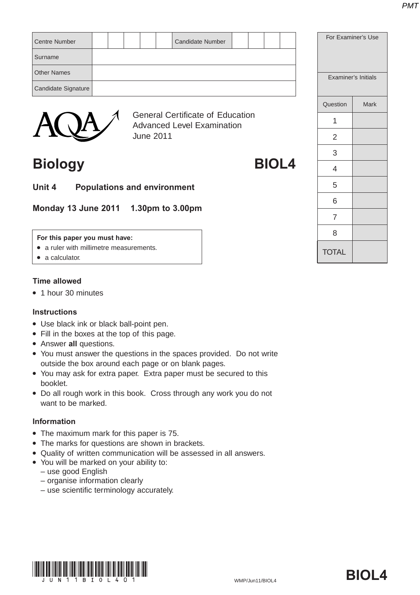| <b>Centre Number</b> |  |  | <b>Candidate Number</b>                                               |  |  | For Examiner's Use |                     |
|----------------------|--|--|-----------------------------------------------------------------------|--|--|--------------------|---------------------|
| Surname              |  |  |                                                                       |  |  |                    |                     |
| <b>Other Names</b>   |  |  |                                                                       |  |  |                    | Examiner's Initials |
| Candidate Signature  |  |  |                                                                       |  |  |                    |                     |
|                      |  |  |                                                                       |  |  | Question           | Mark                |
|                      |  |  | <b>General Certificate of Education</b><br>Advanced Loyal Eveningtion |  |  |                    |                     |



Advanced Level Examination June 2011

## **Biology BIOL4**

**Unit 4 Populations and environment**

**Monday 13 June 2011 1.30pm to 3.00pm**

#### **For this paper you must have:**

- a ruler with millimetre measurements.
- a calculator.

#### **Time allowed**

● 1 hour 30 minutes

#### **Instructions**

- Use black ink or black ball-point pen.
- Fill in the boxes at the top of this page.
- Answer **all** questions.
- You must answer the questions in the spaces provided. Do not write outside the box around each page or on blank pages.
- You may ask for extra paper. Extra paper must be secured to this booklet.
- Do all rough work in this book. Cross through any work you do not want to be marked.

#### **Information**

- The maximum mark for this paper is 75.
- The marks for questions are shown in brackets.
- Quality of written communication will be assessed in all answers.
- You will be marked on your ability to:
	- use good English
	- organise information clearly
	- use scientific terminology accurately.



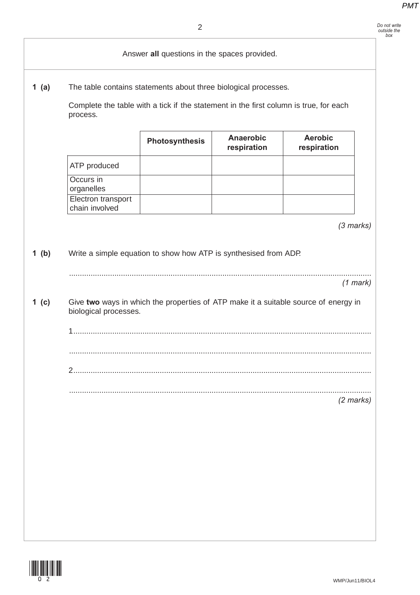| 1 $(a)$<br>The table contains statements about three biological processes.<br>process. |                |                                 |                                              |                                                                                                                                                                                                                                                  |  |
|----------------------------------------------------------------------------------------|----------------|---------------------------------|----------------------------------------------|--------------------------------------------------------------------------------------------------------------------------------------------------------------------------------------------------------------------------------------------------|--|
|                                                                                        | Photosynthesis | <b>Anaerobic</b><br>respiration | <b>Aerobic</b><br>respiration                |                                                                                                                                                                                                                                                  |  |
| ATP produced                                                                           |                |                                 |                                              |                                                                                                                                                                                                                                                  |  |
| Occurs in<br>organelles                                                                |                |                                 |                                              |                                                                                                                                                                                                                                                  |  |
| Electron transport<br>chain involved                                                   |                |                                 |                                              |                                                                                                                                                                                                                                                  |  |
|                                                                                        |                |                                 |                                              | $(3$ marks)                                                                                                                                                                                                                                      |  |
|                                                                                        |                |                                 |                                              | $(1$ mark)                                                                                                                                                                                                                                       |  |
|                                                                                        |                |                                 |                                              |                                                                                                                                                                                                                                                  |  |
|                                                                                        |                |                                 |                                              |                                                                                                                                                                                                                                                  |  |
|                                                                                        |                |                                 |                                              |                                                                                                                                                                                                                                                  |  |
|                                                                                        |                |                                 |                                              | $(2$ marks)                                                                                                                                                                                                                                      |  |
|                                                                                        | 2.             | biological processes.           | Answer all questions in the spaces provided. | Complete the table with a tick if the statement in the first column is true, for each<br>Write a simple equation to show how ATP is synthesised from ADP.<br>Give two ways in which the properties of ATP make it a suitable source of energy in |  |

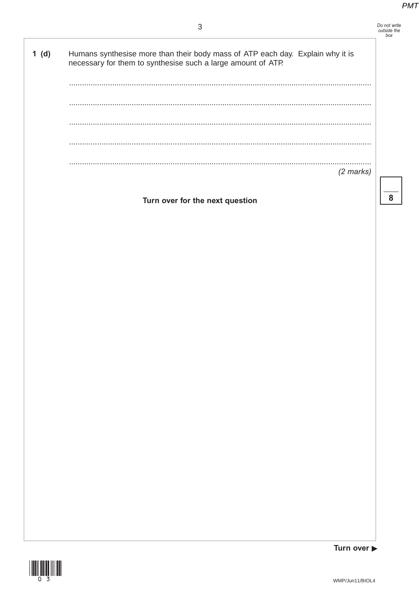## Do not write<br>outside the<br>box

 $1(d)$ Humans synthesise more than their body mass of ATP each day. Explain why it is necessary for them to synthesise such a large amount of ATP.  $\sim$   $\sim$ . . . . . . . . . . . . . . . . .  $(2 \text{ marks})$ 

Turn over for the next question

8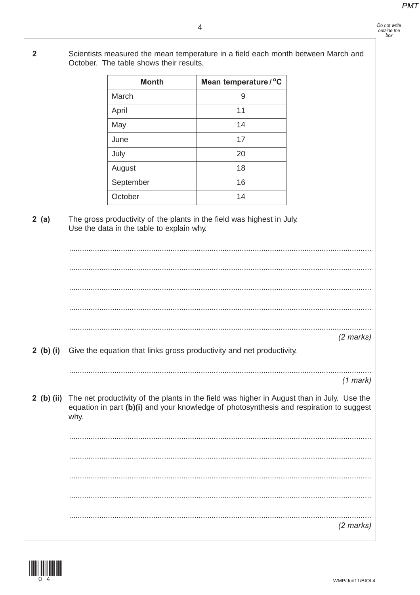$\overline{2}$ Scientists measured the mean temperature in a field each month between March and October. The table shows their results. Mean temperature / °C **Month** March  $\overline{9}$  $11$ April May 14 June  $17$ July 20 18 August September 16 October 14 The gross productivity of the plants in the field was highest in July.  $2(a)$ Use the data in the table to explain why.  $(2 \text{ marks})$ 2 (b) (i) Give the equation that links gross productivity and net productivity.  $(1$  mark) 2 (b) (ii) The net productivity of the plants in the field was higher in August than in July. Use the equation in part (b)(i) and your knowledge of photosynthesis and respiration to suggest why.  $(2 \text{ marks})$ 

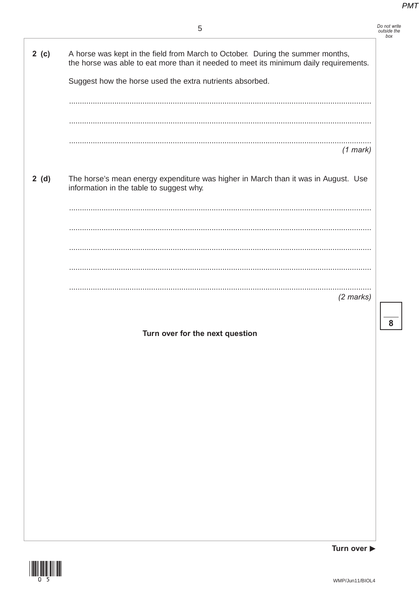| Do not write |
|--------------|
| outside the  |
| box          |

 $\overline{\mathbf{8}}$ 

| 2 (c) | A horse was kept in the field from March to October. During the summer months,<br>the horse was able to eat more than it needed to meet its minimum daily requirements. |
|-------|-------------------------------------------------------------------------------------------------------------------------------------------------------------------------|
|       | Suggest how the horse used the extra nutrients absorbed.                                                                                                                |
|       |                                                                                                                                                                         |
|       |                                                                                                                                                                         |
|       |                                                                                                                                                                         |
|       |                                                                                                                                                                         |
|       |                                                                                                                                                                         |
|       | $(1$ mark)                                                                                                                                                              |
|       |                                                                                                                                                                         |
| 2(d)  | The horse's mean energy expenditure was higher in March than it was in August. Use<br>information in the table to suggest why.                                          |
|       |                                                                                                                                                                         |
|       |                                                                                                                                                                         |
|       |                                                                                                                                                                         |
|       |                                                                                                                                                                         |
|       |                                                                                                                                                                         |
|       |                                                                                                                                                                         |
|       |                                                                                                                                                                         |
|       | $(2$ marks)                                                                                                                                                             |
|       |                                                                                                                                                                         |
|       |                                                                                                                                                                         |
|       | Turn over for the next question                                                                                                                                         |
|       |                                                                                                                                                                         |
|       |                                                                                                                                                                         |
|       |                                                                                                                                                                         |
|       |                                                                                                                                                                         |
|       |                                                                                                                                                                         |
|       |                                                                                                                                                                         |
|       |                                                                                                                                                                         |
|       |                                                                                                                                                                         |
|       |                                                                                                                                                                         |
|       |                                                                                                                                                                         |
|       |                                                                                                                                                                         |
|       |                                                                                                                                                                         |
|       |                                                                                                                                                                         |
|       |                                                                                                                                                                         |
|       |                                                                                                                                                                         |
|       |                                                                                                                                                                         |
|       |                                                                                                                                                                         |
|       |                                                                                                                                                                         |
|       | Turn over $\blacktriangleright$                                                                                                                                         |



WMP/Jun11/BIOL4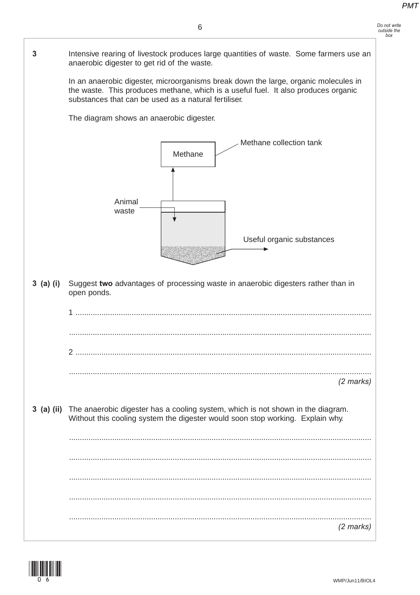**3** Intensive rearing of livestock produces large quantities of waste. Some farmers use an anaerobic digester to get rid of the waste.

> In an anaerobic digester, microorganisms break down the large, organic molecules in the waste. This produces methane, which is a useful fuel. It also produces organic substances that can be used as a natural fertiliser.

The diagram shows an anaerobic digester.



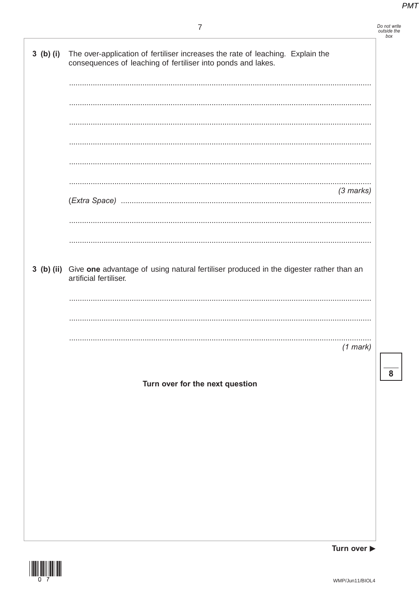| Do not write |
|--------------|
| outside the  |
| box          |

 $\overline{\mathbf{8}}$ 

| $3$ (b) (i) | The over-application of fertiliser increases the rate of leaching. Explain the<br>consequences of leaching of fertiliser into ponds and lakes. |
|-------------|------------------------------------------------------------------------------------------------------------------------------------------------|
|             |                                                                                                                                                |
|             |                                                                                                                                                |
|             |                                                                                                                                                |
|             |                                                                                                                                                |
|             |                                                                                                                                                |
|             | $(3$ marks)                                                                                                                                    |
|             |                                                                                                                                                |
|             |                                                                                                                                                |
|             | 3 (b) (ii) Give one advantage of using natural fertiliser produced in the digester rather than an<br>artificial fertiliser.                    |
|             |                                                                                                                                                |
|             |                                                                                                                                                |
|             | $(1$ mark)                                                                                                                                     |
|             |                                                                                                                                                |
|             | Turn over for the next question                                                                                                                |
|             |                                                                                                                                                |
|             |                                                                                                                                                |
|             |                                                                                                                                                |
|             |                                                                                                                                                |
|             |                                                                                                                                                |
|             |                                                                                                                                                |

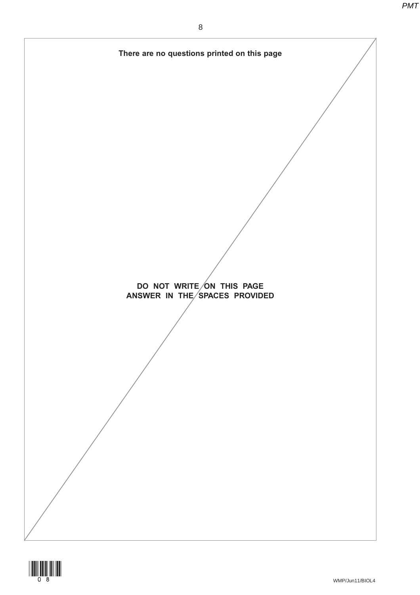

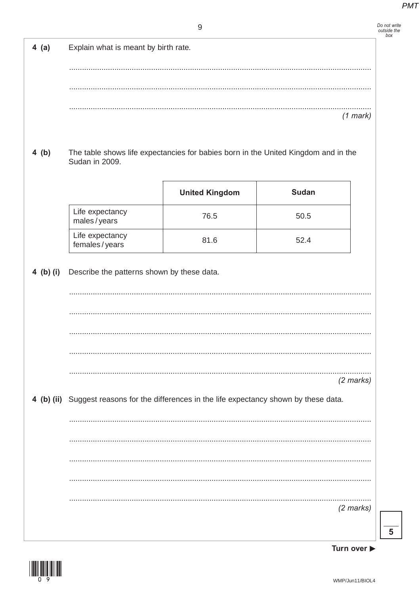| Do not write<br>outside the<br>hox |  |
|------------------------------------|--|
|                                    |  |

| $4$ (a)   | Explain what is meant by birth rate.                                                       |                                                                                    |              |                     |
|-----------|--------------------------------------------------------------------------------------------|------------------------------------------------------------------------------------|--------------|---------------------|
|           |                                                                                            |                                                                                    |              |                     |
|           |                                                                                            |                                                                                    |              |                     |
|           |                                                                                            |                                                                                    |              |                     |
|           |                                                                                            |                                                                                    |              | $(1$ mark)          |
| 4(b)      | Sudan in 2009.                                                                             | The table shows life expectancies for babies born in the United Kingdom and in the |              |                     |
|           |                                                                                            | <b>United Kingdom</b>                                                              | <b>Sudan</b> |                     |
|           | Life expectancy<br>males/years                                                             | 76.5                                                                               | 50.5         |                     |
|           | Life expectancy<br>females/years                                                           | 81.6                                                                               | 52.4         |                     |
| 4 (b) (i) | Describe the patterns shown by these data.                                                 |                                                                                    |              |                     |
|           |                                                                                            |                                                                                    |              |                     |
|           |                                                                                            |                                                                                    |              |                     |
|           |                                                                                            |                                                                                    |              |                     |
|           |                                                                                            |                                                                                    |              |                     |
|           |                                                                                            |                                                                                    |              |                     |
|           |                                                                                            |                                                                                    |              | $(2 \text{ marks})$ |
|           | 4 (b) (ii) Suggest reasons for the differences in the life expectancy shown by these data. |                                                                                    |              |                     |
|           |                                                                                            |                                                                                    |              |                     |
|           |                                                                                            |                                                                                    |              |                     |
|           |                                                                                            |                                                                                    |              |                     |
|           |                                                                                            |                                                                                    |              |                     |
|           |                                                                                            |                                                                                    |              | $(2$ marks)         |
|           |                                                                                            |                                                                                    |              |                     |
|           |                                                                                            |                                                                                    |              |                     |



Turn over ▶

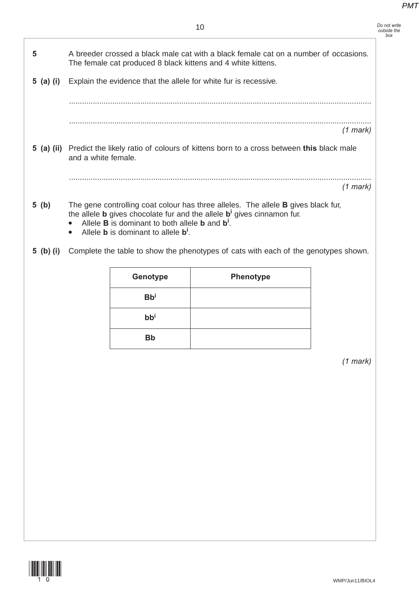| A breeder crossed a black male cat with a black female cat on a number of occasions.<br>The female cat produced 8 black kittens and 4 white kittens.<br>Explain the evidence that the allele for white fur is recessive.<br>5 (a) (i)<br>$(1$ mark)<br>5 (a) (ii) Predict the likely ratio of colours of kittens born to a cross between this black male<br>and a white female.<br>$(1$ mark)<br>5 (b)<br>The gene controlling coat colour has three alleles. The allele <b>B</b> gives black fur,<br>the allele <b>b</b> gives chocolate fur and the allele <b>b</b> <sup>i</sup> gives cinnamon fur.<br>Allele <b>B</b> is dominant to both allele <b>b</b> and $b^i$ .<br>Allele <b>b</b> is dominant to allele $b^i$ .<br>Complete the table to show the phenotypes of cats with each of the genotypes shown.<br>5 (b) (i)<br>Genotype<br>Phenotype<br><b>Bbi</b><br>$bb^{i}$<br><b>Bb</b><br>$(1$ mark) |  | 10 |  |
|--------------------------------------------------------------------------------------------------------------------------------------------------------------------------------------------------------------------------------------------------------------------------------------------------------------------------------------------------------------------------------------------------------------------------------------------------------------------------------------------------------------------------------------------------------------------------------------------------------------------------------------------------------------------------------------------------------------------------------------------------------------------------------------------------------------------------------------------------------------------------------------------------------------|--|----|--|
|                                                                                                                                                                                                                                                                                                                                                                                                                                                                                                                                                                                                                                                                                                                                                                                                                                                                                                              |  |    |  |
|                                                                                                                                                                                                                                                                                                                                                                                                                                                                                                                                                                                                                                                                                                                                                                                                                                                                                                              |  |    |  |
|                                                                                                                                                                                                                                                                                                                                                                                                                                                                                                                                                                                                                                                                                                                                                                                                                                                                                                              |  |    |  |
|                                                                                                                                                                                                                                                                                                                                                                                                                                                                                                                                                                                                                                                                                                                                                                                                                                                                                                              |  |    |  |
|                                                                                                                                                                                                                                                                                                                                                                                                                                                                                                                                                                                                                                                                                                                                                                                                                                                                                                              |  |    |  |
|                                                                                                                                                                                                                                                                                                                                                                                                                                                                                                                                                                                                                                                                                                                                                                                                                                                                                                              |  |    |  |
|                                                                                                                                                                                                                                                                                                                                                                                                                                                                                                                                                                                                                                                                                                                                                                                                                                                                                                              |  |    |  |
|                                                                                                                                                                                                                                                                                                                                                                                                                                                                                                                                                                                                                                                                                                                                                                                                                                                                                                              |  |    |  |
|                                                                                                                                                                                                                                                                                                                                                                                                                                                                                                                                                                                                                                                                                                                                                                                                                                                                                                              |  |    |  |
|                                                                                                                                                                                                                                                                                                                                                                                                                                                                                                                                                                                                                                                                                                                                                                                                                                                                                                              |  |    |  |
|                                                                                                                                                                                                                                                                                                                                                                                                                                                                                                                                                                                                                                                                                                                                                                                                                                                                                                              |  |    |  |
|                                                                                                                                                                                                                                                                                                                                                                                                                                                                                                                                                                                                                                                                                                                                                                                                                                                                                                              |  |    |  |
|                                                                                                                                                                                                                                                                                                                                                                                                                                                                                                                                                                                                                                                                                                                                                                                                                                                                                                              |  |    |  |
|                                                                                                                                                                                                                                                                                                                                                                                                                                                                                                                                                                                                                                                                                                                                                                                                                                                                                                              |  |    |  |
|                                                                                                                                                                                                                                                                                                                                                                                                                                                                                                                                                                                                                                                                                                                                                                                                                                                                                                              |  |    |  |
|                                                                                                                                                                                                                                                                                                                                                                                                                                                                                                                                                                                                                                                                                                                                                                                                                                                                                                              |  |    |  |
|                                                                                                                                                                                                                                                                                                                                                                                                                                                                                                                                                                                                                                                                                                                                                                                                                                                                                                              |  |    |  |
|                                                                                                                                                                                                                                                                                                                                                                                                                                                                                                                                                                                                                                                                                                                                                                                                                                                                                                              |  |    |  |
|                                                                                                                                                                                                                                                                                                                                                                                                                                                                                                                                                                                                                                                                                                                                                                                                                                                                                                              |  |    |  |
|                                                                                                                                                                                                                                                                                                                                                                                                                                                                                                                                                                                                                                                                                                                                                                                                                                                                                                              |  |    |  |

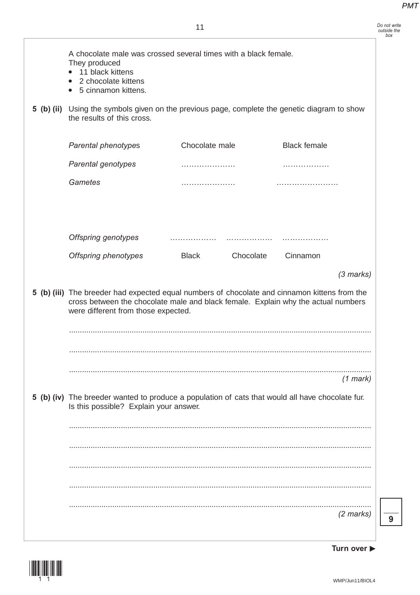| A chocolate male was crossed several times with a black female.<br>They produced<br>11 black kittens<br>2 chocolate kittens<br>5 cinnamon kittens.<br>$\bullet$<br>5 (b) (ii) Using the symbols given on the previous page, complete the genetic diagram to show<br>the results of this cross. |                           |                     |
|------------------------------------------------------------------------------------------------------------------------------------------------------------------------------------------------------------------------------------------------------------------------------------------------|---------------------------|---------------------|
| Parental phenotypes                                                                                                                                                                                                                                                                            | Chocolate male            | <b>Black female</b> |
| Parental genotypes                                                                                                                                                                                                                                                                             |                           | .                   |
| Gametes                                                                                                                                                                                                                                                                                        |                           |                     |
| <b>Offspring genotypes</b>                                                                                                                                                                                                                                                                     |                           |                     |
| <b>Offspring phenotypes</b>                                                                                                                                                                                                                                                                    | <b>Black</b><br>Chocolate | Cinnamon            |
|                                                                                                                                                                                                                                                                                                |                           | $(3$ marks)         |
| 5 (b) (iii) The breeder had expected equal numbers of chocolate and cinnamon kittens from the<br>cross between the chocolate male and black female. Explain why the actual numbers<br>were different from those expected.                                                                      |                           |                     |
|                                                                                                                                                                                                                                                                                                |                           |                     |
|                                                                                                                                                                                                                                                                                                |                           | $(1$ mark)          |
| 5 (b) (iv) The breeder wanted to produce a population of cats that would all have chocolate fur.<br>Is this possible? Explain your answer.                                                                                                                                                     |                           |                     |
|                                                                                                                                                                                                                                                                                                |                           |                     |
|                                                                                                                                                                                                                                                                                                |                           |                     |
|                                                                                                                                                                                                                                                                                                |                           |                     |
|                                                                                                                                                                                                                                                                                                |                           |                     |
|                                                                                                                                                                                                                                                                                                |                           |                     |
|                                                                                                                                                                                                                                                                                                |                           | $(2 \text{ marks})$ |

**9**

**Turn over** 

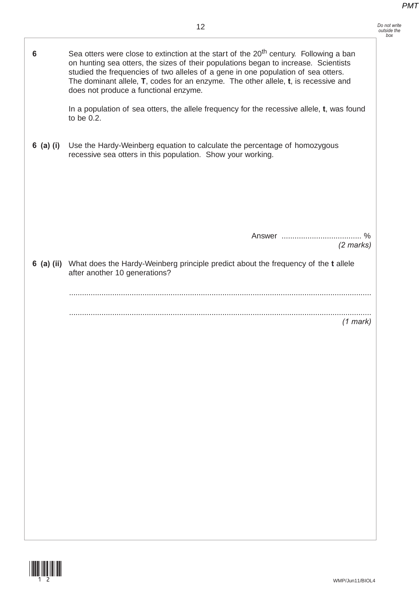*Do not write outside the box*

| 6           | Sea otters were close to extinction at the start of the 20 <sup>th</sup> century. Following a ban<br>on hunting sea otters, the sizes of their populations began to increase. Scientists<br>studied the frequencies of two alleles of a gene in one population of sea otters.<br>The dominant allele, T, codes for an enzyme. The other allele, t, is recessive and<br>does not produce a functional enzyme. |
|-------------|--------------------------------------------------------------------------------------------------------------------------------------------------------------------------------------------------------------------------------------------------------------------------------------------------------------------------------------------------------------------------------------------------------------|
|             | In a population of sea otters, the allele frequency for the recessive allele, t, was found<br>to be 0.2.                                                                                                                                                                                                                                                                                                     |
| $6$ (a) (i) | Use the Hardy-Weinberg equation to calculate the percentage of homozygous<br>recessive sea otters in this population. Show your working.                                                                                                                                                                                                                                                                     |
|             | Answer<br>$\%$<br>$(2$ marks)                                                                                                                                                                                                                                                                                                                                                                                |
|             | 6 (a) (ii) What does the Hardy-Weinberg principle predict about the frequency of the t allele<br>after another 10 generations?                                                                                                                                                                                                                                                                               |
|             |                                                                                                                                                                                                                                                                                                                                                                                                              |
|             | $(1$ mark)                                                                                                                                                                                                                                                                                                                                                                                                   |

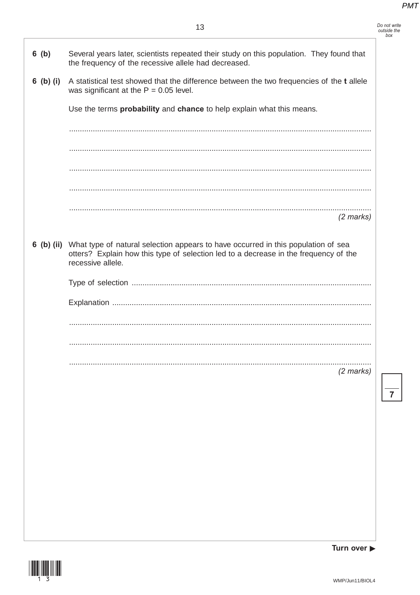Do not write<br>outside the<br>box

| $6$ (b)   | Several years later, scientists repeated their study on this population. They found that<br>the frequency of the recessive allele had decreased.                                                          |  |
|-----------|-----------------------------------------------------------------------------------------------------------------------------------------------------------------------------------------------------------|--|
| 6 (b) (i) | A statistical test showed that the difference between the two frequencies of the t allele<br>was significant at the $P = 0.05$ level.                                                                     |  |
|           | Use the terms probability and chance to help explain what this means.                                                                                                                                     |  |
|           |                                                                                                                                                                                                           |  |
|           |                                                                                                                                                                                                           |  |
|           |                                                                                                                                                                                                           |  |
|           |                                                                                                                                                                                                           |  |
|           | $(2$ marks)                                                                                                                                                                                               |  |
|           | 6 (b) (ii) What type of natural selection appears to have occurred in this population of sea<br>otters? Explain how this type of selection led to a decrease in the frequency of the<br>recessive allele. |  |
|           |                                                                                                                                                                                                           |  |
|           |                                                                                                                                                                                                           |  |
|           |                                                                                                                                                                                                           |  |
|           |                                                                                                                                                                                                           |  |
|           | $(2$ marks)                                                                                                                                                                                               |  |
|           |                                                                                                                                                                                                           |  |
|           |                                                                                                                                                                                                           |  |
|           |                                                                                                                                                                                                           |  |
|           |                                                                                                                                                                                                           |  |
|           |                                                                                                                                                                                                           |  |
|           |                                                                                                                                                                                                           |  |
|           |                                                                                                                                                                                                           |  |
|           |                                                                                                                                                                                                           |  |

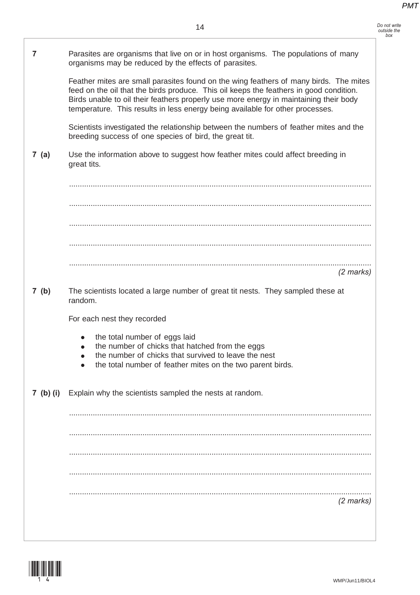*Do not write outside the box*

**7** Parasites are organisms that live on or in host organisms. The populations of many organisms may be reduced by the effects of parasites. Feather mites are small parasites found on the wing feathers of many birds. The mites feed on the oil that the birds produce. This oil keeps the feathers in good condition. Birds unable to oil their feathers properly use more energy in maintaining their body temperature. This results in less energy being available for other processes. Scientists investigated the relationship between the numbers of feather mites and the breeding success of one species of bird, the great tit. **7 (a)** Use the information above to suggest how feather mites could affect breeding in great tits. ............................................................................................................................................ ............................................................................................................................................ ............................................................................................................................................ ............................................................................................................................................ ............................................................................................................................................ *(2 marks)* **7 (b)** The scientists located a large number of great tit nests. They sampled these at random. For each nest they recorded the total number of eggs laid the number of chicks that hatched from the eggs the number of chicks that survived to leave the nest • the total number of feather mites on the two parent birds. **7 (b) (i)** Explain why the scientists sampled the nests at random. ............................................................................................................................................ ............................................................................................................................................ ............................................................................................................................................ ............................................................................................................................................ ............................................................................................................................................ *(2 marks)*

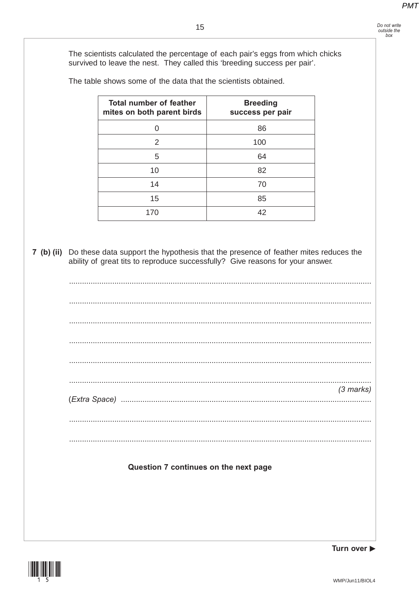Do not write<br>outside the

 $box$ 

The scientists calculated the percentage of each pair's eggs from which chicks survived to leave the nest. They called this 'breeding success per pair'.

The table shows some of the data that the scientists obtained.

| <b>Total number of feather</b><br>mites on both parent birds | <b>Breeding</b><br>success per pair |
|--------------------------------------------------------------|-------------------------------------|
|                                                              | 86                                  |
| 2                                                            | 100                                 |
| 5                                                            | 64                                  |
| 10                                                           | 82                                  |
| 14                                                           | 70                                  |
| 15                                                           | 85                                  |
| 170                                                          | 42                                  |

7 (b) (ii) Do these data support the hypothesis that the presence of feather mites reduces the ability of great tits to reproduce successfully? Give reasons for your answer.

 $(3$  marks) Question 7 continues on the next page



Turn over ▶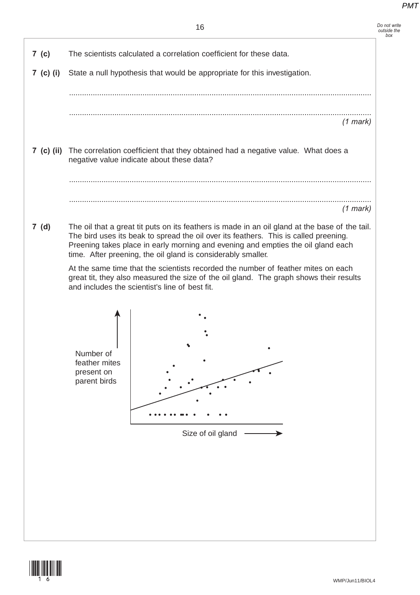| 7 (c)<br>7 (c) (i) | The scientists calculated a correlation coefficient for these data.                                                                                                                                                                                                                                                                        |
|--------------------|--------------------------------------------------------------------------------------------------------------------------------------------------------------------------------------------------------------------------------------------------------------------------------------------------------------------------------------------|
|                    |                                                                                                                                                                                                                                                                                                                                            |
|                    | State a null hypothesis that would be appropriate for this investigation.                                                                                                                                                                                                                                                                  |
|                    |                                                                                                                                                                                                                                                                                                                                            |
|                    | $(1$ mark)                                                                                                                                                                                                                                                                                                                                 |
|                    | 7 (c) (ii) The correlation coefficient that they obtained had a negative value. What does a<br>negative value indicate about these data?                                                                                                                                                                                                   |
|                    |                                                                                                                                                                                                                                                                                                                                            |
|                    | $(1$ mark)                                                                                                                                                                                                                                                                                                                                 |
| 7(d)               | The oil that a great tit puts on its feathers is made in an oil gland at the base of the tail.<br>The bird uses its beak to spread the oil over its feathers. This is called preening.<br>Preening takes place in early morning and evening and empties the oil gland each<br>time. After preening, the oil gland is considerably smaller. |
|                    | At the same time that the scientists recorded the number of feather mites on each<br>great tit, they also measured the size of the oil gland. The graph shows their results<br>and includes the scientist's line of best fit.                                                                                                              |
|                    | Number of<br>feather mites<br>present on<br>parent birds                                                                                                                                                                                                                                                                                   |
|                    |                                                                                                                                                                                                                                                                                                                                            |

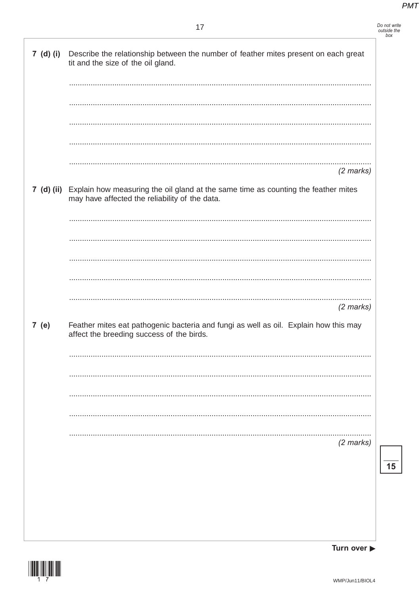### $17$

|            | Do not write |
|------------|--------------|
|            | outside the  |
| $b \sim b$ |              |

| 7 (d) (i) | Describe the relationship between the number of feather mites present on each great<br>tit and the size of the oil gland.                       |
|-----------|-------------------------------------------------------------------------------------------------------------------------------------------------|
|           |                                                                                                                                                 |
|           |                                                                                                                                                 |
|           |                                                                                                                                                 |
|           |                                                                                                                                                 |
|           |                                                                                                                                                 |
|           | $(2$ marks)                                                                                                                                     |
|           | 7 (d) (ii) Explain how measuring the oil gland at the same time as counting the feather mites<br>may have affected the reliability of the data. |
|           |                                                                                                                                                 |
|           |                                                                                                                                                 |
|           |                                                                                                                                                 |
|           |                                                                                                                                                 |
|           | $(2$ marks)                                                                                                                                     |
| 7 (e)     | Feather mites eat pathogenic bacteria and fungi as well as oil. Explain how this may<br>affect the breeding success of the birds.               |
|           |                                                                                                                                                 |
|           |                                                                                                                                                 |
|           |                                                                                                                                                 |
|           |                                                                                                                                                 |
|           |                                                                                                                                                 |
|           | $(2$ marks)                                                                                                                                     |
|           |                                                                                                                                                 |
|           |                                                                                                                                                 |
|           |                                                                                                                                                 |
|           |                                                                                                                                                 |
|           |                                                                                                                                                 |

Turn over  $\blacktriangleright$ 

 $\frac{1}{15}$ 

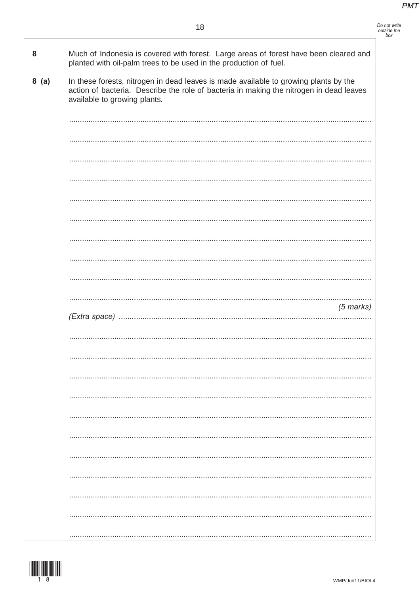| 8    | Much of Indonesia is covered with forest. Large areas of forest have been cleared and<br>planted with oil-palm trees to be used in the production of fuel.                                                      |
|------|-----------------------------------------------------------------------------------------------------------------------------------------------------------------------------------------------------------------|
| 8(a) | In these forests, nitrogen in dead leaves is made available to growing plants by the<br>action of bacteria. Describe the role of bacteria in making the nitrogen in dead leaves<br>available to growing plants. |
|      |                                                                                                                                                                                                                 |
|      |                                                                                                                                                                                                                 |
|      |                                                                                                                                                                                                                 |
|      |                                                                                                                                                                                                                 |
|      |                                                                                                                                                                                                                 |
|      |                                                                                                                                                                                                                 |
|      |                                                                                                                                                                                                                 |
|      |                                                                                                                                                                                                                 |
|      |                                                                                                                                                                                                                 |
|      | $(5$ marks)                                                                                                                                                                                                     |
|      |                                                                                                                                                                                                                 |
|      |                                                                                                                                                                                                                 |
|      |                                                                                                                                                                                                                 |
|      |                                                                                                                                                                                                                 |
|      |                                                                                                                                                                                                                 |
|      |                                                                                                                                                                                                                 |
|      |                                                                                                                                                                                                                 |
|      |                                                                                                                                                                                                                 |
|      |                                                                                                                                                                                                                 |
|      |                                                                                                                                                                                                                 |
|      |                                                                                                                                                                                                                 |
|      |                                                                                                                                                                                                                 |

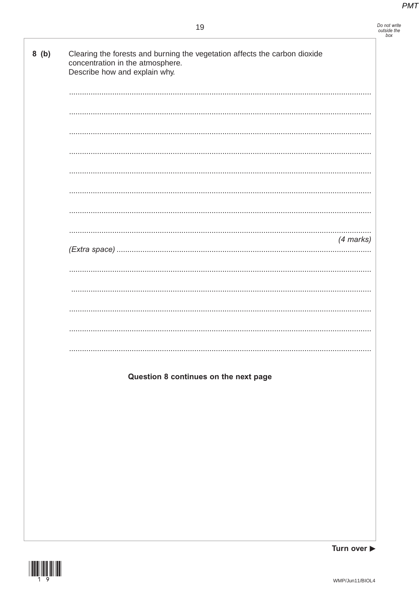Do not write<br>outside the<br>box

### 19

| Describe how and explain why. |                                       |           |
|-------------------------------|---------------------------------------|-----------|
|                               |                                       |           |
|                               |                                       |           |
|                               |                                       |           |
|                               |                                       |           |
|                               |                                       |           |
|                               |                                       |           |
|                               |                                       |           |
|                               |                                       |           |
|                               |                                       | (4 marks) |
|                               |                                       |           |
|                               |                                       |           |
|                               |                                       |           |
|                               |                                       |           |
|                               |                                       |           |
|                               |                                       |           |
|                               | Question 8 continues on the next page |           |
|                               |                                       |           |
|                               |                                       |           |
|                               |                                       |           |
|                               |                                       |           |
|                               |                                       |           |
|                               |                                       |           |
|                               |                                       |           |